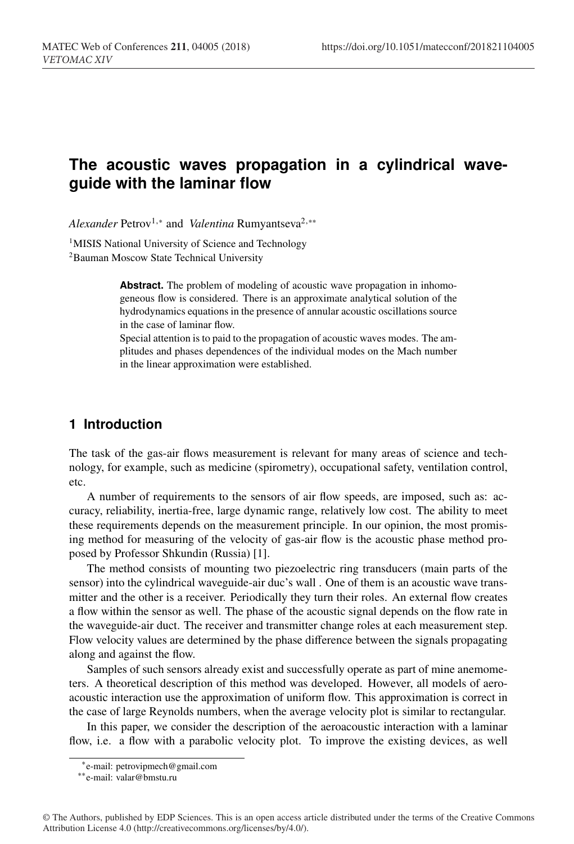# **The acoustic waves propagation in a cylindrical waveguide with the laminar flow**

*Alexander* Petrov<sup>1,∗</sup> and *Valentina* Rumyantseva<sup>2,</sup>\*\*

<sup>1</sup>MISIS National University of Science and Technology 2Bauman Moscow State Technical University

> Abstract. The problem of modeling of acoustic wave propagation in inhomogeneous flow is considered. There is an approximate analytical solution of the hydrodynamics equations in the presence of annular acoustic oscillations source in the case of laminar flow.

> Special attention is to paid to the propagation of acoustic waves modes. The amplitudes and phases dependences of the individual modes on the Mach number in the linear approximation were established.

## **1 Introduction**

The task of the gas-air flows measurement is relevant for many areas of science and technology, for example, such as medicine (spirometry), occupational safety, ventilation control, etc.

A number of requirements to the sensors of air flow speeds, are imposed, such as: accuracy, reliability, inertia-free, large dynamic range, relatively low cost. The ability to meet these requirements depends on the measurement principle. In our opinion, the most promising method for measuring of the velocity of gas-air flow is the acoustic phase method proposed by Professor Shkundin (Russia) [1].

The method consists of mounting two piezoelectric ring transducers (main parts of the sensor) into the cylindrical waveguide-air duc's wall . One of them is an acoustic wave transmitter and the other is a receiver. Periodically they turn their roles. An external flow creates a flow within the sensor as well. The phase of the acoustic signal depends on the flow rate in the waveguide-air duct. The receiver and transmitter change roles at each measurement step. Flow velocity values are determined by the phase difference between the signals propagating along and against the flow.

Samples of such sensors already exist and successfully operate as part of mine anemometers. A theoretical description of this method was developed. However, all models of aeroacoustic interaction use the approximation of uniform flow. This approximation is correct in the case of large Reynolds numbers, when the average velocity plot is similar to rectangular.

In this paper, we consider the description of the aeroacoustic interaction with a laminar flow, i.e. a flow with a parabolic velocity plot. To improve the existing devices, as well

<sup>∗</sup>e-mail: petrovipmech@gmail.com

<sup>∗∗</sup>e-mail: valar@bmstu.ru

<sup>©</sup> The Authors, published by EDP Sciences. This is an open access article distributed under the terms of the Creative Commons Attribution License 4.0 (http://creativecommons.org/licenses/by/4.0/).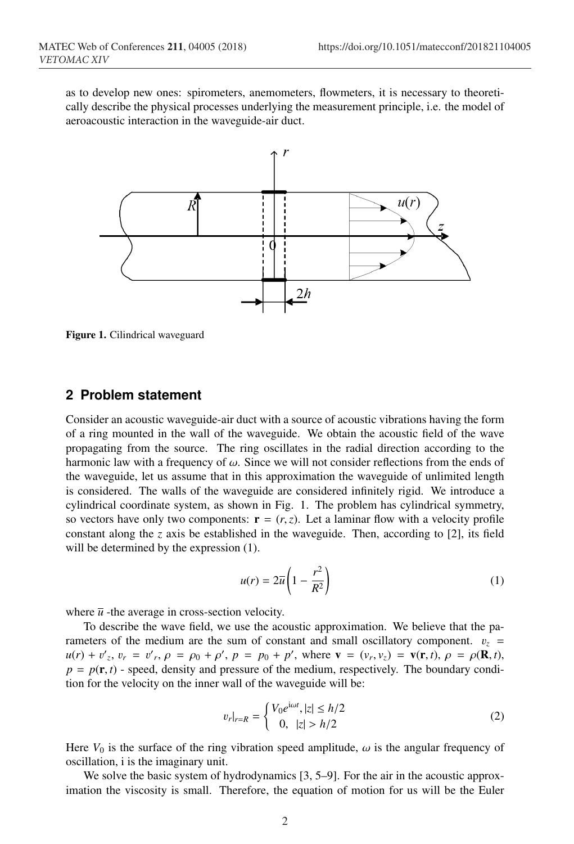as to develop new ones: spirometers, anemometers, flowmeters, it is necessary to theoretically describe the physical processes underlying the measurement principle, i.e. the model of aeroacoustic interaction in the waveguide-air duct.



Figure 1. Cilindrical waveguard

### **2 Problem statement**

Consider an acoustic waveguide-air duct with a source of acoustic vibrations having the form of a ring mounted in the wall of the waveguide. We obtain the acoustic field of the wave propagating from the source. The ring oscillates in the radial direction according to the harmonic law with a frequency of  $\omega$ . Since we will not consider reflections from the ends of the waveguide, let us assume that in this approximation the waveguide of unlimited length is considered. The walls of the waveguide are considered infinitely rigid. We introduce a cylindrical coordinate system, as shown in Fig. 1. The problem has cylindrical symmetry, so vectors have only two components:  $\mathbf{r} = (r, z)$ . Let a laminar flow with a velocity profile constant along the *z* axis be established in the waveguide. Then, according to [2], its field will be determined by the expression  $(1)$ .

$$
u(r) = 2\overline{u}\left(1 - \frac{r^2}{R^2}\right) \tag{1}
$$

where  $\bar{u}$  -the average in cross-section velocity.

To describe the wave field, we use the acoustic approximation. We believe that the parameters of the medium are the sum of constant and small oscillatory component.  $v_z$  =  $u(r) + v'_z, v_r = v'_r, \rho = \rho_0 + \rho', p = p_0 + p', \text{ where } \mathbf{v} = (v_r, v_z) = \mathbf{v}(\mathbf{r}, t), \rho = \rho(\mathbf{R}, t),$  $p = p(\mathbf{r}, t)$  - speed, density and pressure of the medium, respectively. The boundary condition for the velocity on the inner wall of the waveguide will be:

$$
v_r|_{r=R} = \begin{cases} V_0 e^{i\omega t}, |z| \le h/2\\ 0, |z| > h/2 \end{cases}
$$
 (2)

Here  $V_0$  is the surface of the ring vibration speed amplitude,  $\omega$  is the angular frequency of oscillation, i is the imaginary unit.

We solve the basic system of hydrodynamics [3, 5–9]. For the air in the acoustic approximation the viscosity is small. Therefore, the equation of motion for us will be the Euler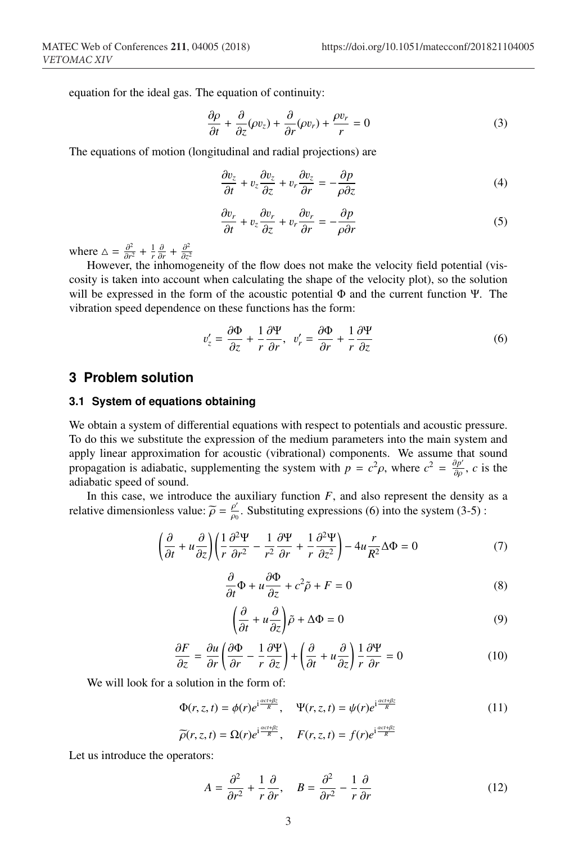equation for the ideal gas. The equation of continuity:

$$
\frac{\partial \rho}{\partial t} + \frac{\partial}{\partial z}(\rho v_z) + \frac{\partial}{\partial r}(\rho v_r) + \frac{\rho v_r}{r} = 0
$$
\n(3)

The equations of motion (longitudinal and radial projections) are

$$
\frac{\partial v_z}{\partial t} + v_z \frac{\partial v_z}{\partial z} + v_r \frac{\partial v_z}{\partial r} = -\frac{\partial p}{\rho \partial z} \tag{4}
$$

$$
\frac{\partial v_r}{\partial t} + v_z \frac{\partial v_r}{\partial z} + v_r \frac{\partial v_r}{\partial r} = -\frac{\partial p}{\rho \partial r}
$$
(5)

where  $\Delta = \frac{\partial^2}{\partial r^2} + \frac{1}{r} \frac{\partial}{\partial r} + \frac{\partial^2}{\partial z^2}$ <br>However, the inhomogeneity of the flow does not make the velocity field potential (viscosity is taken into account when calculating the shape of the velocity plot), so the solution will be expressed in the form of the acoustic potential  $\Phi$  and the current function Ψ. The vibration speed dependence on these functions has the form:

$$
v'_{z} = \frac{\partial \Phi}{\partial z} + \frac{1}{r} \frac{\partial \Psi}{\partial r}, \quad v'_{r} = \frac{\partial \Phi}{\partial r} + \frac{1}{r} \frac{\partial \Psi}{\partial z}
$$
(6)

### **3 Problem solution**

#### **3.1 System of equations obtaining**

We obtain a system of differential equations with respect to potentials and acoustic pressure. To do this we substitute the expression of the medium parameters into the main system and apply linear approximation for acoustic (vibrational) components. We assume that sound propagation is adiabatic, supplementing the system with  $p = c^2 \rho$ , where  $c^2 = \frac{\partial p'}{\partial \rho}$ , *c* is the adiabatic speed of sound.

In this case, we introduce the auxiliary function  $F$ , and also represent the density as a relative dimensionless value:  $\tilde{\rho} = \frac{\rho'}{\rho_0}$ . Substituting expressions (6) into the system (3-5):

$$
\left(\frac{\partial}{\partial t} + u\frac{\partial}{\partial z}\right)\left(\frac{1}{r}\frac{\partial^2 \Psi}{\partial r^2} - \frac{1}{r^2}\frac{\partial \Psi}{\partial r} + \frac{1}{r}\frac{\partial^2 \Psi}{\partial z^2}\right) - 4u\frac{r}{R^2}\Delta \Phi = 0\tag{7}
$$

$$
\frac{\partial}{\partial t}\Phi + u\frac{\partial \Phi}{\partial z} + c^2 \tilde{\rho} + F = 0
$$
\n(8)

$$
\left(\frac{\partial}{\partial t} + u \frac{\partial}{\partial z}\right)\tilde{\rho} + \Delta \Phi = 0
$$
\n(9)

$$
\frac{\partial F}{\partial z} = \frac{\partial u}{\partial r} \left( \frac{\partial \Phi}{\partial r} - \frac{1}{r} \frac{\partial \Psi}{\partial z} \right) + \left( \frac{\partial}{\partial t} + u \frac{\partial}{\partial z} \right) \frac{1}{r} \frac{\partial \Psi}{\partial r} = 0 \tag{10}
$$

We will look for a solution in the form of:

$$
\Phi(r, z, t) = \phi(r)e^{i\frac{\alpha ct+\beta z}{R}}, \quad \Psi(r, z, t) = \psi(r)e^{i\frac{\alpha ct+\beta z}{R}}
$$
(11)

$$
\widetilde{\rho}(r,z,t) = \Omega(r)e^{i\frac{\alpha ct+pz}{R}}, \quad F(r,z,t) = f(r)e^{i\frac{\alpha ct}{R}}
$$

Let us introduce the operators:

$$
A = \frac{\partial^2}{\partial r^2} + \frac{1}{r} \frac{\partial}{\partial r}, \quad B = \frac{\partial^2}{\partial r^2} - \frac{1}{r} \frac{\partial}{\partial r}
$$
(12)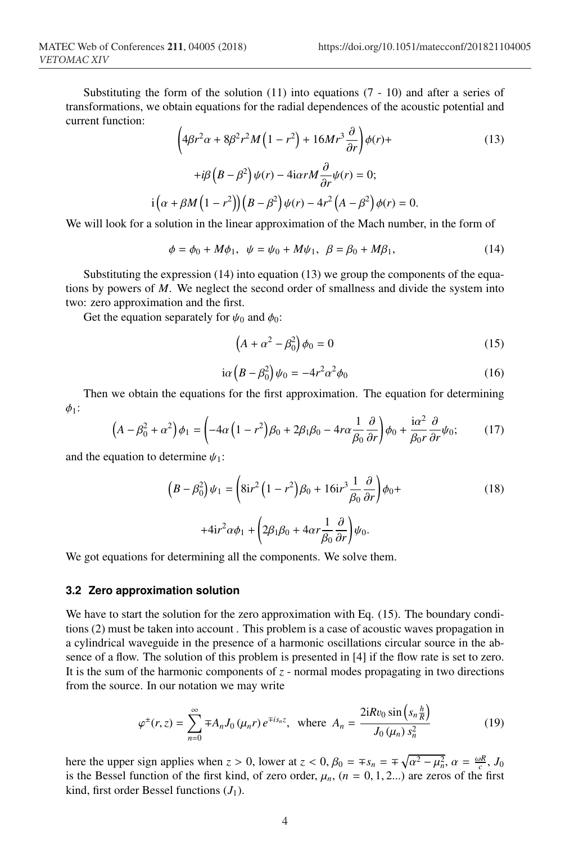Substituting the form of the solution  $(11)$  into equations  $(7 - 10)$  and after a series of transformations, we obtain equations for the radial dependences of the acoustic potential and current function:

$$
\left(4\beta r^2 \alpha + 8\beta^2 r^2 M \left(1 - r^2\right) + 16Mr^3 \frac{\partial}{\partial r}\right) \phi(r) +
$$
  
+ $i\beta \left(B - \beta^2\right) \psi(r) - 4i\alpha r M \frac{\partial}{\partial r} \psi(r) = 0;$   

$$
i\left(\alpha + \beta M \left(1 - r^2\right)\right) \left(B - \beta^2\right) \psi(r) - 4r^2 \left(A - \beta^2\right) \phi(r) = 0.
$$
 (13)

We will look for a solution in the linear approximation of the Mach number, in the form of

$$
\phi = \phi_0 + M\phi_1, \ \psi = \psi_0 + M\psi_1, \ \beta = \beta_0 + M\beta_1,\tag{14}
$$

Substituting the expression  $(14)$  into equation  $(13)$  we group the components of the equations by powers of *M*. We neglect the second order of smallness and divide the system into two: zero approximation and the first.

Get the equation separately for  $\psi_0$  and  $\phi_0$ :

$$
\left(A + \alpha^2 - \beta_0^2\right)\phi_0 = 0\tag{15}
$$

$$
i\alpha \left( B - \beta_0^2 \right) \psi_0 = -4r^2 \alpha^2 \phi_0 \tag{16}
$$

Then we obtain the equations for the first approximation. The equation for determining  $\phi_1$ :

$$
\left(A - \beta_0^2 + \alpha^2\right)\phi_1 = \left(-4\alpha\left(1 - r^2\right)\beta_0 + 2\beta_1\beta_0 - 4r\alpha\frac{1}{\beta_0}\frac{\partial}{\partial r}\right)\phi_0 + \frac{\mathrm{i}\alpha^2}{\beta_0 r}\frac{\partial}{\partial r}\psi_0;\tag{17}
$$

and the equation to determine  $\psi_1$ :

$$
\left(B - \beta_0^2\right)\psi_1 = \left(8ir^2\left(1 - r^2\right)\beta_0 + 16ir^3\frac{1}{\beta_0}\frac{\partial}{\partial r}\right)\phi_0 +
$$
  
+4ir<sup>2</sup> $\alpha\phi_1 + \left(2\beta_1\beta_0 + 4\alpha r\frac{1}{\beta_0}\frac{\partial}{\partial r}\right)\psi_0.$  (18)

We got equations for determining all the components. We solve them.

#### **3.2 Zero approximation solution**

We have to start the solution for the zero approximation with Eq. (15). The boundary conditions (2) must be taken into account . This problem is a case of acoustic waves propagation in a cylindrical waveguide in the presence of a harmonic oscillations circular source in the absence of a flow. The solution of this problem is presented in [4] if the flow rate is set to zero. It is the sum of the harmonic components of *z* - normal modes propagating in two directions from the source. In our notation we may write

$$
\varphi^{\pm}(r,z) = \sum_{n=0}^{\infty} \pm A_n J_0(\mu_n r) e^{\mp i s_n z}, \text{ where } A_n = \frac{2i R v_0 \sin\left(s_n \frac{h}{R}\right)}{J_0(\mu_n) s_n^2}
$$
(19)

here the upper sign applies when  $z > 0$ , lower at  $z < 0$ ,  $\beta_0 = \pm s_n = \pm \sqrt{\alpha^2 - \mu_n^2}$ ,  $\alpha = \frac{\omega R}{c}$ ,  $J_0$ is the Bessel function of the first kind, of zero order,  $\mu_n$ ,  $(n = 0, 1, 2...)$  are zeros of the first kind, first order Bessel functions  $(J_1)$ .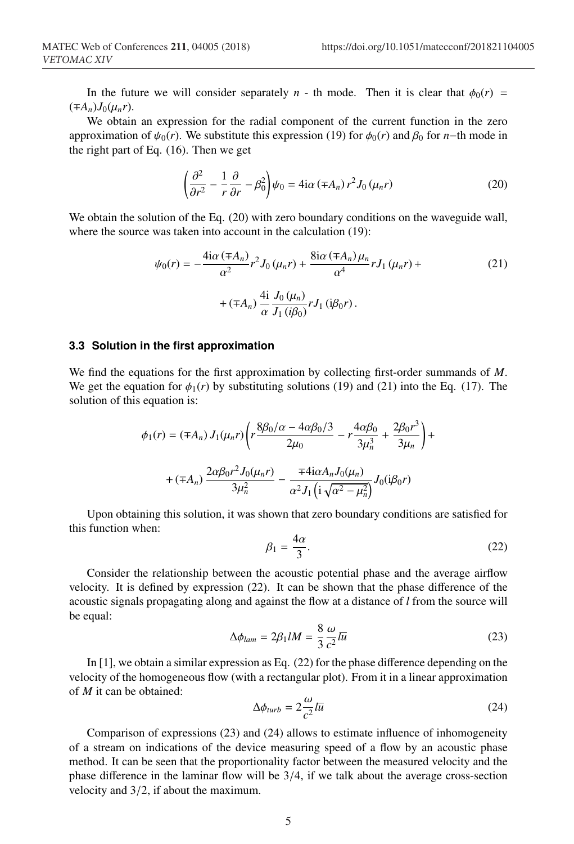In the future we will consider separately *n* - th mode. Then it is clear that  $\phi_0(r)$  =  $(≡A<sub>n</sub>)J<sub>0</sub>(μ<sub>n</sub>r).$ 

We obtain an expression for the radial component of the current function in the zero approximation of  $\psi_0(r)$ . We substitute this expression (19) for  $\phi_0(r)$  and  $\beta_0$  for *n*−th mode in the right part of Eq. (16). Then we get

$$
\left(\frac{\partial^2}{\partial r^2} - \frac{1}{r}\frac{\partial}{\partial r} - \beta_0^2\right)\psi_0 = 4i\alpha \left(\mp A_n\right) r^2 J_0(\mu_n r) \tag{20}
$$

We obtain the solution of the Eq. (20) with zero boundary conditions on the waveguide wall, where the source was taken into account in the calculation (19):

$$
\psi_0(r) = -\frac{4i\alpha (\mp A_n)}{\alpha^2} r^2 J_0(\mu_n r) + \frac{8i\alpha (\mp A_n)\mu_n}{\alpha^4} r J_1(\mu_n r) +
$$
\n
$$
+ (\mp A_n) \frac{4i}{\alpha} \frac{J_0(\mu_n)}{J_1(i\beta_0)} r J_1(i\beta_0 r).
$$
\n(21)

#### **3.3 Solution in the first approximation**

We find the equations for the first approximation by collecting first-order summands of *M*. We get the equation for  $\phi_1(r)$  by substituting solutions (19) and (21) into the Eq. (17). The solution of this equation is:

$$
\phi_1(r) = (\mp A_n) J_1(\mu_n r) \left( r \frac{8\beta_0/\alpha - 4\alpha\beta_0/3}{2\mu_0} - r \frac{4\alpha\beta_0}{3\mu_n^3} + \frac{2\beta_0 r^3}{3\mu_n} \right) +
$$
  
+ 
$$
(\mp A_n) \frac{2\alpha\beta_0 r^2 J_0(\mu_n r)}{3\mu_n^2} - \frac{\mp 4i\alpha A_n J_0(\mu_n)}{\alpha^2 J_1 \left( i \sqrt{\alpha^2 - \mu_n^2} \right)} J_0(i\beta_0 r)
$$

Upon obtaining this solution, it was shown that zero boundary conditions are satisfied for this function when:

$$
\beta_1 = \frac{4\alpha}{3}.\tag{22}
$$

Consider the relationship between the acoustic potential phase and the average airflow velocity. It is defined by expression (22). It can be shown that the phase difference of the acoustic signals propagating along and against the flow at a distance of *l* from the source will be equal:

$$
\Delta\phi_{lam} = 2\beta_1 IM = \frac{8}{3}\frac{\omega}{c^2}\overline{lu}
$$
\n(23)

In [1], we obtain a similar expression as Eq. (22) for the phase difference depending on the velocity of the homogeneous flow (with a rectangular plot). From it in a linear approximation of *M* it can be obtained:

$$
\Delta\phi_{turb} = 2\frac{\omega}{c^2}\overline{lu} \tag{24}
$$

Comparison of expressions (23) and (24) allows to estimate influence of inhomogeneity of a stream on indications of the device measuring speed of a flow by an acoustic phase method. It can be seen that the proportionality factor between the measured velocity and the phase difference in the laminar flow will be 3/4, if we talk about the average cross-section velocity and 3/2, if about the maximum.